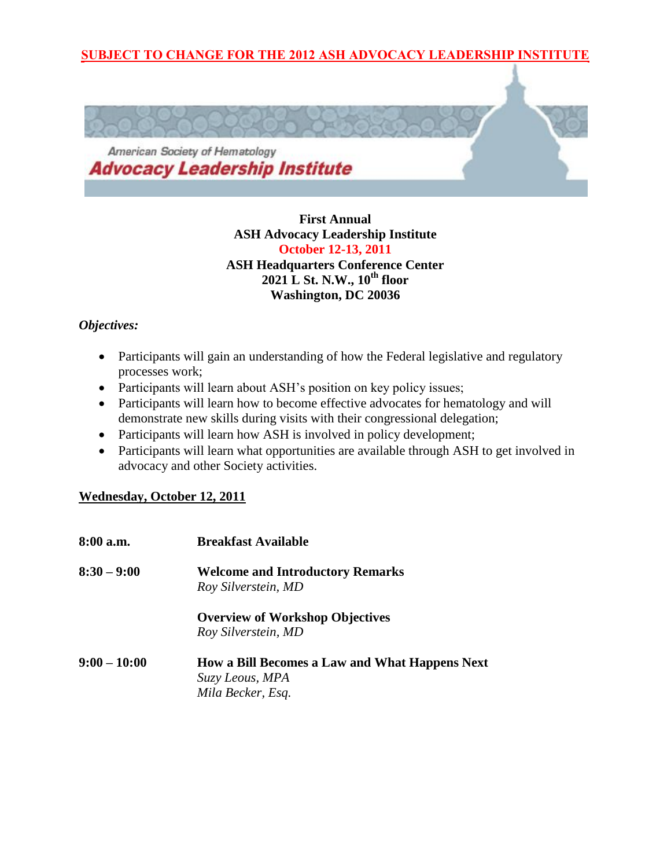### **SUBJECT TO CHANGE FOR THE 2012 ASH ADVOCACY LEADERSHIP INSTITUTE**



**First Annual ASH Advocacy Leadership Institute October 12-13, 2011 ASH Headquarters Conference Center 2021 L St. N.W., 10th floor Washington, DC 20036**

#### *Objectives:*

- Participants will gain an understanding of how the Federal legislative and regulatory processes work;
- Participants will learn about ASH's position on key policy issues;
- Participants will learn how to become effective advocates for hematology and will demonstrate new skills during visits with their congressional delegation;
- Participants will learn how ASH is involved in policy development;
- Participants will learn what opportunities are available through ASH to get involved in advocacy and other Society activities.

#### **Wednesday, October 12, 2011**

| 8:00 a.m.      | <b>Breakfast Available</b>                            |
|----------------|-------------------------------------------------------|
| $8:30 - 9:00$  | <b>Welcome and Introductory Remarks</b>               |
|                | Roy Silverstein, MD                                   |
|                | <b>Overview of Workshop Objectives</b>                |
|                | Roy Silverstein, MD                                   |
| $9:00 - 10:00$ | <b>How a Bill Becomes a Law and What Happens Next</b> |
|                | Suzy Leous, MPA                                       |
|                | Mila Becker, Esq.                                     |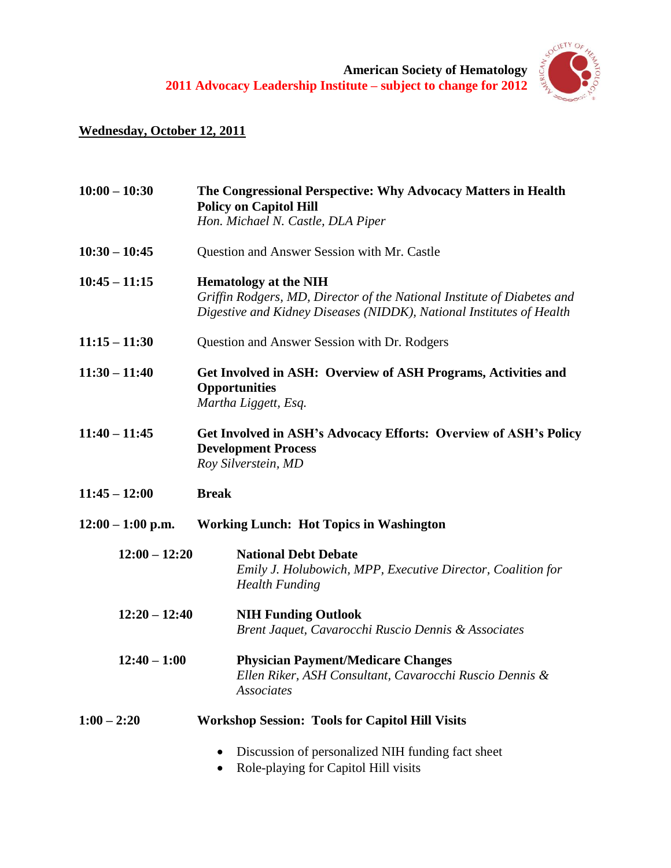**American Society of Hematology 2011 Advocacy Leadership Institute – subject to change for 2012**



# **Wednesday, October 12, 2011**

| $10:00 - 10:30$     | The Congressional Perspective: Why Advocacy Matters in Health<br><b>Policy on Capitol Hill</b>                                                                                  |
|---------------------|---------------------------------------------------------------------------------------------------------------------------------------------------------------------------------|
|                     | Hon. Michael N. Castle, DLA Piper                                                                                                                                               |
| $10:30 - 10:45$     | Question and Answer Session with Mr. Castle                                                                                                                                     |
| $10:45 - 11:15$     | <b>Hematology at the NIH</b><br>Griffin Rodgers, MD, Director of the National Institute of Diabetes and<br>Digestive and Kidney Diseases (NIDDK), National Institutes of Health |
| $11:15 - 11:30$     | Question and Answer Session with Dr. Rodgers                                                                                                                                    |
| $11:30 - 11:40$     | Get Involved in ASH: Overview of ASH Programs, Activities and<br><b>Opportunities</b><br>Martha Liggett, Esq.                                                                   |
| $11:40 - 11:45$     | Get Involved in ASH's Advocacy Efforts: Overview of ASH's Policy<br><b>Development Process</b><br>Roy Silverstein, MD                                                           |
| $11:45 - 12:00$     | <b>Break</b>                                                                                                                                                                    |
| $12:00 - 1:00$ p.m. | <b>Working Lunch: Hot Topics in Washington</b>                                                                                                                                  |
| $12:00 - 12:20$     | <b>National Debt Debate</b><br>Emily J. Holubowich, MPP, Executive Director, Coalition for<br><b>Health Funding</b>                                                             |
| $12:20 - 12:40$     | <b>NIH Funding Outlook</b><br>Brent Jaquet, Cavarocchi Ruscio Dennis & Associates                                                                                               |
| $12:40 - 1:00$      | <b>Physician Payment/Medicare Changes</b><br>Ellen Riker, ASH Consultant, Cavarocchi Ruscio Dennis &<br>Associates                                                              |
| $1:00 - 2:20$       | <b>Workshop Session: Tools for Capitol Hill Visits</b>                                                                                                                          |
|                     | Discussion of personalized NIH funding fact sheet<br>Role-playing for Capitol Hill visits                                                                                       |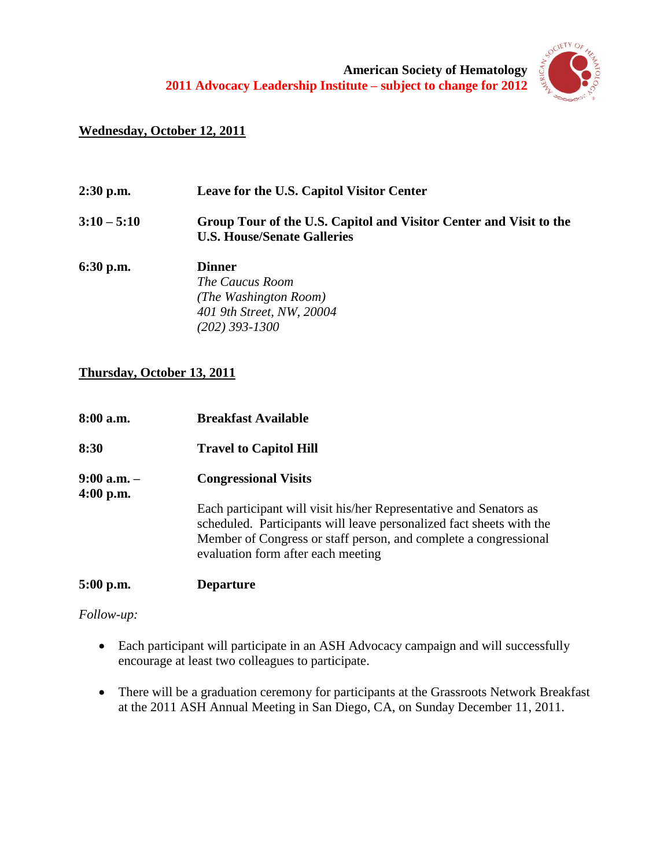

# **Wednesday, October 12, 2011**

| 2:30 p.m.     | Leave for the U.S. Capitol Visitor Center                                                                         |
|---------------|-------------------------------------------------------------------------------------------------------------------|
| $3:10 - 5:10$ | Group Tour of the U.S. Capitol and Visitor Center and Visit to the<br><b>U.S. House/Senate Galleries</b>          |
| 6:30 p.m.     | <b>Dinner</b><br><i>The Caucus Room</i><br>(The Washington Room)<br>401 9th Street, NW, 20004<br>$(202)$ 393-1300 |

# **Thursday, October 13, 2011**

| 8:00 a.m.                      | <b>Breakfast Available</b>                                                                                                                                                                                                                           |
|--------------------------------|------------------------------------------------------------------------------------------------------------------------------------------------------------------------------------------------------------------------------------------------------|
| 8:30                           | <b>Travel to Capitol Hill</b>                                                                                                                                                                                                                        |
| $9:00$ a.m. $-$<br>$4:00$ p.m. | <b>Congressional Visits</b>                                                                                                                                                                                                                          |
|                                | Each participant will visit his/her Representative and Senators as<br>scheduled. Participants will leave personalized fact sheets with the<br>Member of Congress or staff person, and complete a congressional<br>evaluation form after each meeting |
| $5:00$ p.m.                    | <b>Departure</b>                                                                                                                                                                                                                                     |

*Follow-up:*

- Each participant will participate in an ASH Advocacy campaign and will successfully encourage at least two colleagues to participate.
- There will be a graduation ceremony for participants at the Grassroots Network Breakfast at the 2011 ASH Annual Meeting in San Diego, CA, on Sunday December 11, 2011.